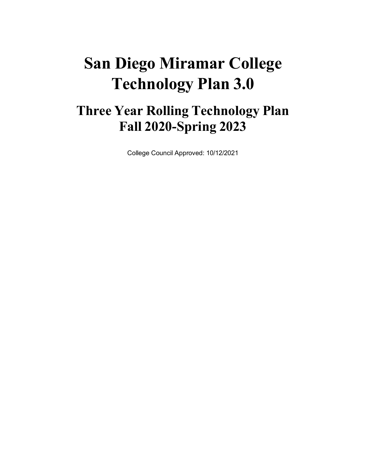# **San Diego Miramar College Technology Plan 3.0**

## **Three Year Rolling Technology Plan Fall 2020-Spring 2023**

College Council Approved: 10/12/2021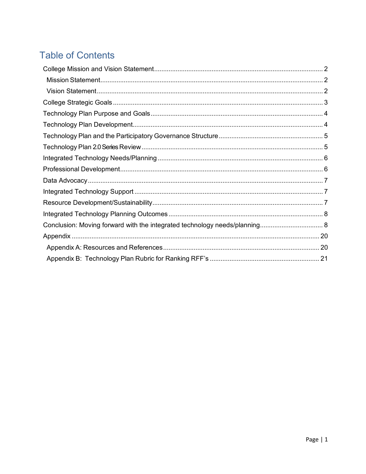### **Table of Contents**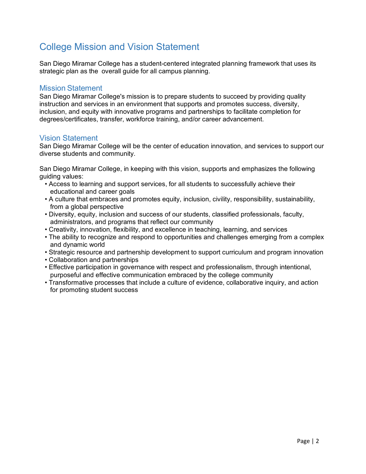### <span id="page-2-0"></span>College Mission and Vision Statement

San Diego Miramar College has a student-centered integrated planning framework that uses its strategic plan as the overall guide for all campus planning.

#### <span id="page-2-1"></span>Mission Statement

San Diego Miramar College's mission is to prepare students to succeed by providing quality instruction and services in an environment that supports and promotes success, diversity, inclusion, and equity with innovative programs and partnerships to facilitate completion for degrees/certificates, transfer, workforce training, and/or career advancement.

#### <span id="page-2-2"></span>Vision Statement

San Diego Miramar College will be the center of education innovation, and services to support our diverse students and community.

San Diego Miramar College, in keeping with this vision, supports and emphasizes the following guiding values:

- Access to learning and support services, for all students to successfully achieve their educational and career goals
- A culture that embraces and promotes equity, inclusion, civility, responsibility, sustainability, from a global perspective
- Diversity, equity, inclusion and success of our students, classified professionals, faculty, administrators, and programs that reflect our community
- Creativity, innovation, flexibility, and excellence in teaching, learning, and services
- The ability to recognize and respond to opportunities and challenges emerging from a complex and dynamic world
- Strategic resource and partnership development to support curriculum and program innovation
- Collaboration and partnerships
- Effective participation in governance with respect and professionalism, through intentional, purposeful and effective communication embraced by the college community
- Transformative processes that include a culture of evidence, collaborative inquiry, and action for promoting student success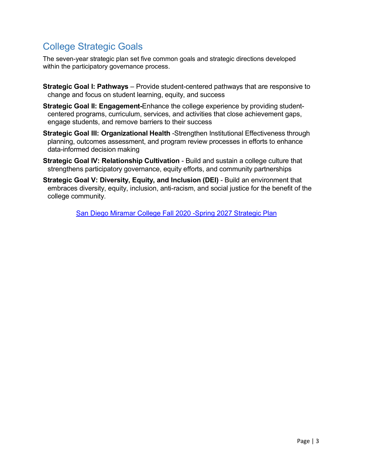### <span id="page-3-0"></span>College Strategic Goals

The seven-year strategic plan set five common goals and strategic directions developed within the participatory governance process.

- **Strategic Goal I: Pathways**  Provide student-centered pathways that are responsive to change and focus on student learning, equity, and success
- **Strategic Goal II: Engagement-**Enhance the college experience by providing studentcentered programs, curriculum, services, and activities that close achievement gaps, engage students, and remove barriers to their success
- **Strategic Goal III: Organizational Health** -Strengthen Institutional Effectiveness through planning, outcomes assessment, and program review processes in efforts to enhance data-informed decision making
- **Strategic Goal IV: Relationship Cultivation**  Build and sustain a college culture that strengthens participatory governance, equity efforts, and community partnerships
- **Strategic Goal V: Diversity, Equity, and Inclusion (DEI)**  Build an environment that embraces diversity, equity, inclusion, anti-racism, and social justice for the benefit of the college community.

[San Diego Miramar College Fall 2020 -Spring 2027 Strategic Plan](https://sdmiramar.edu/sites/default/files/2021-07/San_Diego_Miramar_College_Fall_2020-Spring_2027_Strategic_Plan.pdf)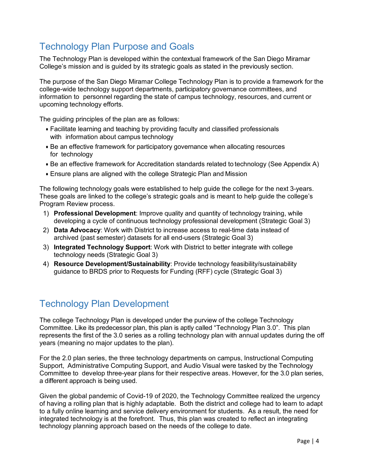### <span id="page-4-0"></span>Technology Plan Purpose and Goals

The Technology Plan is developed within the contextual framework of the San Diego Miramar College's mission and is guided by its strategic goals as stated in the previously section.

The purpose of the San Diego Miramar College Technology Plan is to provide a framework for the college-wide technology support departments, participatory governance committees, and information to personnel regarding the state of campus technology, resources, and current or upcoming technology efforts.

The guiding principles of the plan are as follows:

- Facilitate learning and teaching by providing faculty and classified professionals with information about campus technology
- Be an effective framework for participatory governance when allocating resources for technology
- Be an effective framework for Accreditation standards related to technology (See Appendix A)
- Ensure plans are aligned with the college Strategic Plan and Mission

The following technology goals were established to help guide the college for the next 3-years. These goals are linked to the college's strategic goals and is meant to help guide the college's Program Review process.

- 1) **Professional Development**: Improve quality and quantity of technology training, while developing a cycle of continuous technology professional development (Strategic Goal 3)
- 2) **Data Advocacy**: Work with District to increase access to real-time data instead of archived (past semester) datasets for all end-users (Strategic Goal 3)
- 3) **Integrated Technology Support**: Work with District to better integrate with college technology needs (Strategic Goal 3)
- 4) **Resource Development/Sustainability**: Provide technology feasibility/sustainability guidance to BRDS prior to Requests for Funding (RFF) cycle (Strategic Goal 3)

#### <span id="page-4-1"></span>Technology Plan Development

The college Technology Plan is developed under the purview of the college Technology Committee. Like its predecessor plan, this plan is aptly called "Technology Plan 3.0". This plan represents the first of the 3.0 series as a rolling technology plan with annual updates during the off years (meaning no major updates to the plan).

For the 2.0 plan series, the three technology departments on campus, Instructional Computing Support, Administrative Computing Support, and Audio Visual were tasked by the Technology Committee to develop three-year plans for their respective areas. However, for the 3.0 plan series, a different approach is being used.

Given the global pandemic of Covid-19 of 2020, the Technology Committee realized the urgency of having a rolling plan that is highly adaptable. Both the district and college had to learn to adapt to a fully online learning and service delivery environment for students. As a result, the need for integrated technology is at the forefront. Thus, this plan was created to reflect an integrating technology planning approach based on the needs of the college to date.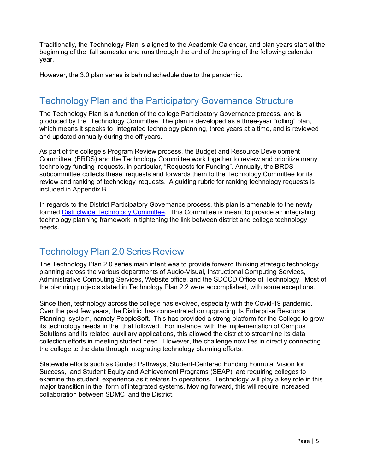Traditionally, the Technology Plan is aligned to the Academic Calendar, and plan years start at the beginning of the fall semester and runs through the end of the spring of the following calendar year.

However, the 3.0 plan series is behind schedule due to the pandemic.

### <span id="page-5-0"></span>Technology Plan and the Participatory Governance Structure

The Technology Plan is a function of the college Participatory Governance process, and is produced by the Technology Committee. The plan is developed as a three-year "rolling" plan, which means it speaks to integrated technology planning, three years at a time, and is reviewed and updated annually during the off years.

As part of the college's Program Review process, the Budget and Resource Development Committee (BRDS) and the Technology Committee work together to review and prioritize many technology funding requests, in particular, "Requests for Funding". Annually, the BRDS subcommittee collects these requests and forwards them to the Technology Committee for its review and ranking of technology requests. A guiding rubric for ranking technology requests is included in Appendix B.

In regards to the District Participatory Governance process, this plan is amenable to the newly formed [Districtwide Technology Committee.](https://www.sdccd.edu/docs/District/cpr/AdminGovHandbook.pdf) This Committee is meant to provide an integrating technology planning framework in tightening the link between district and college technology needs.

#### <span id="page-5-1"></span>Technology Plan 2.0 Series Review

The Technology Plan 2.0 series main intent was to provide forward thinking strategic technology planning across the various departments of Audio-Visual, Instructional Computing Services, Administrative Computing Services, Website office, and the SDCCD Office of Technology. Most of the planning projects stated in Technology Plan 2.2 were accomplished, with some exceptions.

Since then, technology across the college has evolved, especially with the Covid-19 pandemic. Over the past few years, the District has concentrated on upgrading its Enterprise Resource Planning system, namely PeopleSoft. This has provided a strong platform for the College to grow its technology needs in the that followed. For instance, with the implementation of Campus Solutions and its related auxiliary applications, this allowed the district to streamline its data collection efforts in meeting student need. However, the challenge now lies in directly connecting the college to the data through integrating technology planning efforts.

Statewide efforts such as Guided Pathways, Student-Centered Funding Formula, Vision for Success, and Student Equity and Achievement Programs (SEAP), are requiring colleges to examine the student experience as it relates to operations. Technology will play a key role in this major transition in the form of integrated systems. Moving forward, this will require increased collaboration between SDMC and the District.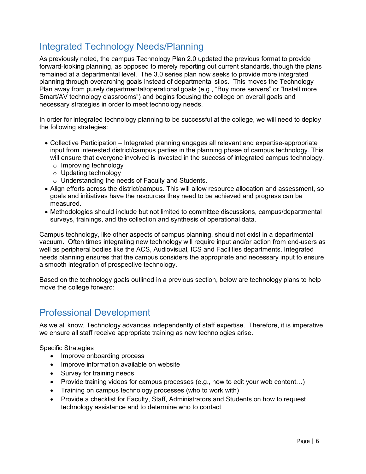### <span id="page-6-0"></span>Integrated Technology Needs/Planning

As previously noted, the campus Technology Plan 2.0 updated the previous format to provide forward-looking planning, as opposed to merely reporting out current standards, though the plans remained at a departmental level. The 3.0 series plan now seeks to provide more integrated planning through overarching goals instead of departmental silos. This moves the Technology Plan away from purely departmental/operational goals (e.g., "Buy more servers" or "Install more Smart/AV technology classrooms") and begins focusing the college on overall goals and necessary strategies in order to meet technology needs.

In order for integrated technology planning to be successful at the college, we will need to deploy the following strategies:

- Collective Participation Integrated planning engages all relevant and expertise-appropriate input from interested district/campus parties in the planning phase of campus technology. This will ensure that everyone involved is invested in the success of integrated campus technology.
	- o Improving technology
	- o Updating technology
	- o Understanding the needs of Faculty and Students.
- Align efforts across the district/campus. This will allow resource allocation and assessment, so goals and initiatives have the resources they need to be achieved and progress can be measured.
- Methodologies should include but not limited to committee discussions, campus/departmental surveys, trainings, and the collection and synthesis of operational data.

Campus technology, like other aspects of campus planning, should not exist in a departmental vacuum. Often times integrating new technology will require input and/or action from end-users as well as peripheral bodies like the ACS, Audiovisual, ICS and Facilities departments. Integrated needs planning ensures that the campus considers the appropriate and necessary input to ensure a smooth integration of prospective technology.

Based on the technology goals outlined in a previous section, below are technology plans to help move the college forward:

#### <span id="page-6-1"></span>Professional Development

As we all know, Technology advances independently of staff expertise. Therefore, it is imperative we ensure all staff receive appropriate training as new technologies arise.

Specific Strategies

- Improve onboarding process
- Improve information available on website
- Survey for training needs
- Provide training videos for campus processes (e.g., how to edit your web content…)
- Training on campus technology processes (who to work with)
- Provide a checklist for Faculty, Staff, Administrators and Students on how to request technology assistance and to determine who to contact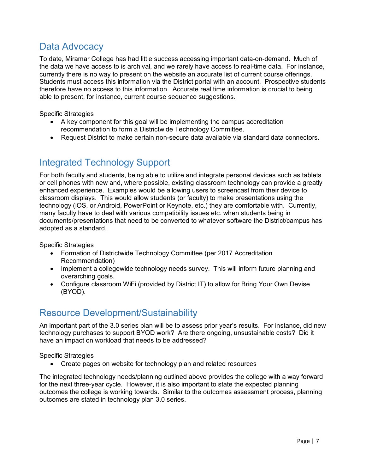### <span id="page-7-0"></span>Data Advocacy

To date, Miramar College has had little success accessing important data-on-demand. Much of the data we have access to is archival, and we rarely have access to real-time data. For instance, currently there is no way to present on the website an accurate list of current course offerings. Students must access this information via the District portal with an account. Prospective students therefore have no access to this information. Accurate real time information is crucial to being able to present, for instance, current course sequence suggestions.

Specific Strategies

- A key component for this goal will be implementing the campus accreditation recommendation to form a Districtwide Technology Committee.
- Request District to make certain non-secure data available via standard data connectors.

### <span id="page-7-1"></span>Integrated Technology Support

For both faculty and students, being able to utilize and integrate personal devices such as tablets or cell phones with new and, where possible, existing classroom technology can provide a greatly enhanced experience. Examples would be allowing users to screencast from their device to classroom displays. This would allow students (or faculty) to make presentations using the technology (iOS, or Android, PowerPoint or Keynote, etc.) they are comfortable with. Currently, many faculty have to deal with various compatibility issues etc. when students being in documents/presentations that need to be converted to whatever software the District/campus has adopted as a standard.

Specific Strategies

- Formation of Districtwide Technology Committee (per 2017 Accreditation Recommendation)
- Implement a collegewide technology needs survey. This will inform future planning and overarching goals.
- Configure classroom WiFi (provided by District IT) to allow for Bring Your Own Devise (BYOD).

### <span id="page-7-2"></span>Resource Development/Sustainability

An important part of the 3.0 series plan will be to assess prior year's results. For instance, did new technology purchases to support BYOD work? Are there ongoing, unsustainable costs? Did it have an impact on workload that needs to be addressed?

Specific Strategies

• Create pages on website for technology plan and related resources

The integrated technology needs/planning outlined above provides the college with a way forward for the next three-year cycle. However, it is also important to state the expected planning outcomes the college is working towards. Similar to the outcomes assessment process, planning outcomes are stated in technology plan 3.0 series.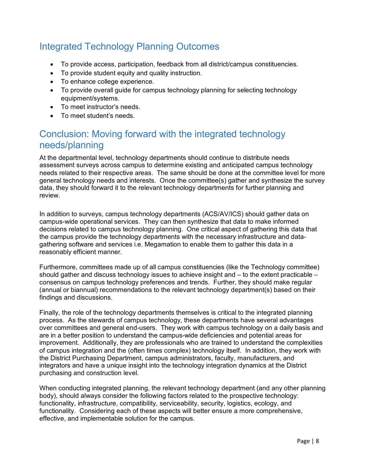### <span id="page-8-0"></span>Integrated Technology Planning Outcomes

- To provide access, participation, feedback from all district/campus constituencies.
- To provide student equity and quality instruction.
- To enhance college experience.
- To provide overall guide for campus technology planning for selecting technology equipment/systems.
- To meet instructor's needs.
- To meet student's needs.

#### <span id="page-8-1"></span>Conclusion: Moving forward with the integrated technology needs/planning

At the departmental level, technology departments should continue to distribute needs assessment surveys across campus to determine existing and anticipated campus technology needs related to their respective areas. The same should be done at the committee level for more general technology needs and interests. Once the committee(s) gather and synthesize the survey data, they should forward it to the relevant technology departments for further planning and review.

In addition to surveys, campus technology departments (ACS/AV/ICS) should gather data on campus-wide operational services. They can then synthesize that data to make informed decisions related to campus technology planning. One critical aspect of gathering this data that the campus provide the technology departments with the necessary infrastructure and datagathering software and services i.e. Megamation to enable them to gather this data in a reasonably efficient manner.

Furthermore, committees made up of all campus constituencies (like the Technology committee) should gather and discuss technology issues to achieve insight and – to the extent practicable – consensus on campus technology preferences and trends. Further, they should make regular (annual or biannual) recommendations to the relevant technology department(s) based on their findings and discussions.

Finally, the role of the technology departments themselves is critical to the integrated planning process. As the stewards of campus technology, these departments have several advantages over committees and general end-users. They work with campus technology on a daily basis and are in a better position to understand the campus-wide deficiencies and potential areas for improvement. Additionally, they are professionals who are trained to understand the complexities of campus integration and the (often times complex) technology itself. In addition, they work with the District Purchasing Department, campus administrators, faculty, manufacturers, and integrators and have a unique insight into the technology integration dynamics at the District purchasing and construction level.

When conducting integrated planning, the relevant technology department (and any other planning body), should always consider the following factors related to the prospective technology: functionality, infrastructure, compatibility, serviceability, security, logistics, ecology, and functionality. Considering each of these aspects will better ensure a more comprehensive, effective, and implementable solution for the campus.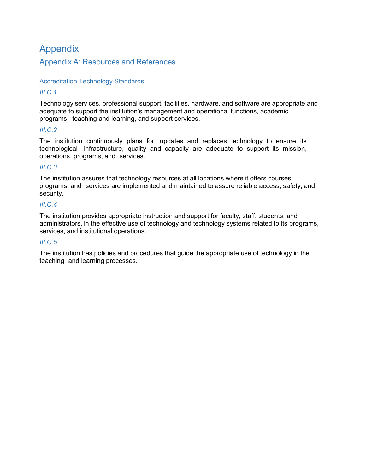#### <span id="page-9-0"></span>Appendix

#### <span id="page-9-1"></span>Appendix A: Resources and References

#### Accreditation Technology Standards

#### *III.C.1*

Technology services, professional support, facilities, hardware, and software are appropriate and adequate to support the institution's management and operational functions, academic programs, teaching and learning, and support services.

#### *III.C.2*

The institution continuously plans for, updates and replaces technology to ensure its technological infrastructure, quality and capacity are adequate to support its mission, operations, programs, and services.

#### *III.C.3*

The institution assures that technology resources at all locations where it offers courses, programs, and services are implemented and maintained to assure reliable access, safety, and security.

#### *III.C.4*

The institution provides appropriate instruction and support for faculty, staff, students, and administrators, in the effective use of technology and technology systems related to its programs, services, and institutional operations.

#### *III.C.5*

The institution has policies and procedures that guide the appropriate use of technology in the teaching and learning processes.